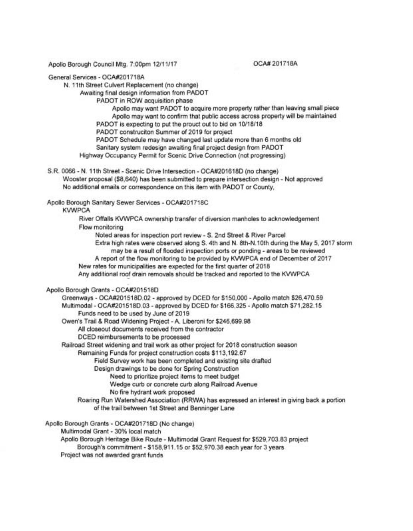Apollo Borough Council Mtg. 7:00pm 12/11/17

OCA# 201718A

General Services - OCA#201718A

N. 11 th Street Culvert Replacement (no change)

Awaiting final design information from PADOT

PADOT in ROW acquisition phase

Apollo may want PADOT to acquire more property rather than leaving small piece Apollo may want to confirm that public access across property will be maintained

PADOT is expecting to put the prouct out to bid on 10/18/18

PADOT construciton Summer of 2019 for project

PADOT Schedule may have changed last update more than 6 months old

Sanitary system redesign awaiting final project design from PADOT

Highway Occupancy Permit for Scenic Drive Connection (not progressing)

S.R. 0066 - N. 11 th Street - Scenic Drive Intersection - OCA#201618D (no change) Wooster proposal (\$8,640) has been submitted to prepare intersection design - Not approved No additional emails or correspondence on this item with PADOT or County,

Apollo Borough Sanitary Sewer Services - OCA#201718C

**KVWPCA** 

River Oftalls KWlPCA ownership transfer of diversion manholes to acknowledgement Flow monitoring

Noted areas for inspection port review - S. 2nd Street & River Parcel

Extra high rates were observed along S. 4th and N. 8th-N.10th during the May 5, 2017 storm may be a result of fiooded inspection ports or ponding - areas to be reviewed

A report of the fiow monitoring to be provided by KWlPCA end of December of 2017

New rates for municipalities are expected for the first quarter of 2018

Any additional roof drain removals should be tracked and reported to the KVWPCA

## Apollo Borough Grants - OCA#201518D

Greenways - OCA#201518D.02 - approved by DCED for \$150,000 - Apollo match \$26,470.59 Multimodal- OCA#201518D.03 - approved by DCED for \$166,325 - Apollo match \$71 ,282.15 Funds need to be used by June of 2019

Owen's Trail & Road Widening Project - A. Liberoni for \$246,699.98

All closeout documents received from the contractor

DCED reimbursements to be processed

Railroad Street widening and trail work as other project for 2018 construction season

Remaining Funds for project construction costs \$113,192.67

Field Survey work has been completed and existing site drafted

Design drawings to be done for Spring Construction

Need to prioritize project items to meet budget

Wedge curb or concrete curb along Railroad Avenue

No fire hydrant work proposed

Roaring Run Watershed Association (RRWA) has expressed an interest in giving back a portion of the trail between 1st Street and Benninger Lane

Apollo Borough Grants - OCA#201718D (No change)

Multimodal Grant - 30% local match

Apollo Borough Heritage Bike Route - Multimodal Grant Request for \$529,703.83 project

Borough's commitment - \$158,911 .15 or \$52,970.38 each year for 3 years

Project was not awarded grant funds